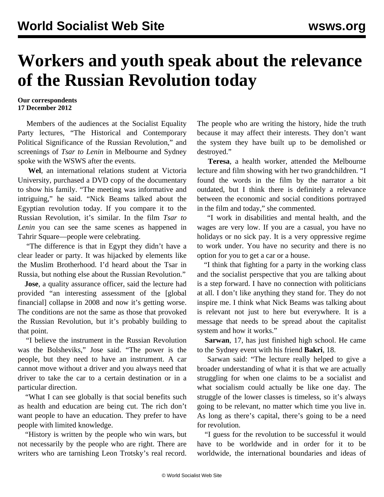## **Workers and youth speak about the relevance of the Russian Revolution today**

## **Our correspondents 17 December 2012**

 Members of the audiences at the Socialist Equality Party lectures, "The Historical and Contemporary Political Significance of the Russian Revolution," and screenings of *Tsar to Lenin* in Melbourne and Sydney spoke with the WSWS after the events.

 **Wel**, an international relations student at Victoria University, purchased a DVD copy of the documentary to show his family. "The meeting was informative and intriguing," he said. "Nick Beams talked about the Egyptian revolution today. If you compare it to the Russian Revolution, it's similar. In the film *Tsar to Lenin* you can see the same scenes as happened in Tahrir Square—people were celebrating.

 "The difference is that in Egypt they didn't have a clear leader or party. It was hijacked by elements like the Muslim Brotherhood. I'd heard about the Tsar in Russia, but nothing else about the Russian Revolution."

 **Jose**, a quality assurance officer, said the lecture had provided "an interesting assessment of the [global financial] collapse in 2008 and now it's getting worse. The conditions are not the same as those that provoked the Russian Revolution, but it's probably building to that point.

 "I believe the instrument in the Russian Revolution was the Bolsheviks," Jose said. "The power is the people, but they need to have an instrument. A car cannot move without a driver and you always need that driver to take the car to a certain destination or in a particular direction.

 "What I can see globally is that social benefits such as health and education are being cut. The rich don't want people to have an education. They prefer to have people with limited knowledge.

 "History is written by the people who win wars, but not necessarily by the people who are right. There are writers who are tarnishing Leon Trotsky's real record. The people who are writing the history, hide the truth because it may affect their interests. They don't want the system they have built up to be demolished or destroyed."

 **Teresa**, a health worker, attended the Melbourne lecture and film showing with her two grandchildren. "I found the words in the film by the narrator a bit outdated, but I think there is definitely a relevance between the economic and social conditions portrayed in the film and today," she commented.

 "I work in disabilities and mental health, and the wages are very low. If you are a casual, you have no holidays or no sick pay. It is a very oppressive regime to work under. You have no security and there is no option for you to get a car or a house.

 "I think that fighting for a party in the working class and the socialist perspective that you are talking about is a step forward. I have no connection with politicians at all. I don't like anything they stand for. They do not inspire me. I think what Nick Beams was talking about is relevant not just to here but everywhere. It is a message that needs to be spread about the capitalist system and how it works."

 **Sarwan**, 17, has just finished high school. He came to the Sydney event with his friend **Bakri**, 18.

 Sarwan said: "The lecture really helped to give a broader understanding of what it is that we are actually struggling for when one claims to be a socialist and what socialism could actually be like one day. The struggle of the lower classes is timeless, so it's always going to be relevant, no matter which time you live in. As long as there's capital, there's going to be a need for revolution.

 "I guess for the revolution to be successful it would have to be worldwide and in order for it to be worldwide, the international boundaries and ideas of